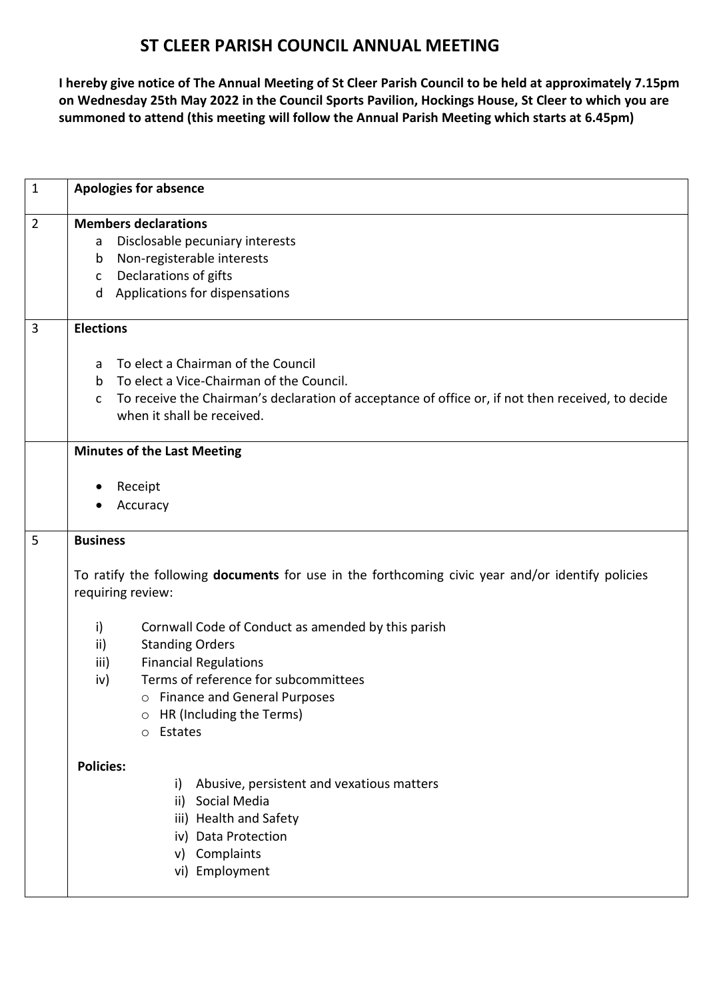## **ST CLEER PARISH COUNCIL ANNUAL MEETING**

**I hereby give notice of The Annual Meeting of St Cleer Parish Council to be held at approximately 7.15pm on Wednesday 25th May 2022 in the Council Sports Pavilion, Hockings House, St Cleer to which you are summoned to attend (this meeting will follow the Annual Parish Meeting which starts at 6.45pm)**

| $\mathbf{1}$   | <b>Apologies for absence</b>                                                                                                 |
|----------------|------------------------------------------------------------------------------------------------------------------------------|
| $\overline{2}$ | <b>Members declarations</b>                                                                                                  |
|                | Disclosable pecuniary interests<br>a                                                                                         |
|                | Non-registerable interests<br>b                                                                                              |
|                | Declarations of gifts<br>C                                                                                                   |
|                | Applications for dispensations<br>d                                                                                          |
| $\overline{3}$ | <b>Elections</b>                                                                                                             |
|                | To elect a Chairman of the Council<br>a                                                                                      |
|                | To elect a Vice-Chairman of the Council.<br>b.                                                                               |
|                | To receive the Chairman's declaration of acceptance of office or, if not then received, to decide<br>C                       |
|                | when it shall be received.                                                                                                   |
|                | <b>Minutes of the Last Meeting</b>                                                                                           |
|                | Receipt                                                                                                                      |
|                | Accuracy                                                                                                                     |
|                |                                                                                                                              |
| 5              | <b>Business</b>                                                                                                              |
|                | To ratify the following <b>documents</b> for use in the forthcoming civic year and/or identify policies<br>requiring review: |
|                | i)<br>Cornwall Code of Conduct as amended by this parish                                                                     |
|                | ii)<br><b>Standing Orders</b>                                                                                                |
|                | <b>Financial Regulations</b><br>iii)                                                                                         |
|                | Terms of reference for subcommittees<br>iv)                                                                                  |
|                | o Finance and General Purposes                                                                                               |
|                | HR (Including the Terms)<br>O                                                                                                |
|                | Estates<br>$\circ$                                                                                                           |
|                | <b>Policies:</b>                                                                                                             |
|                | Abusive, persistent and vexatious matters<br>i)                                                                              |
|                | Social Media<br>ii)                                                                                                          |
|                | iii) Health and Safety                                                                                                       |
|                | iv) Data Protection                                                                                                          |
|                | Complaints<br>V)                                                                                                             |
|                | vi) Employment                                                                                                               |
|                |                                                                                                                              |